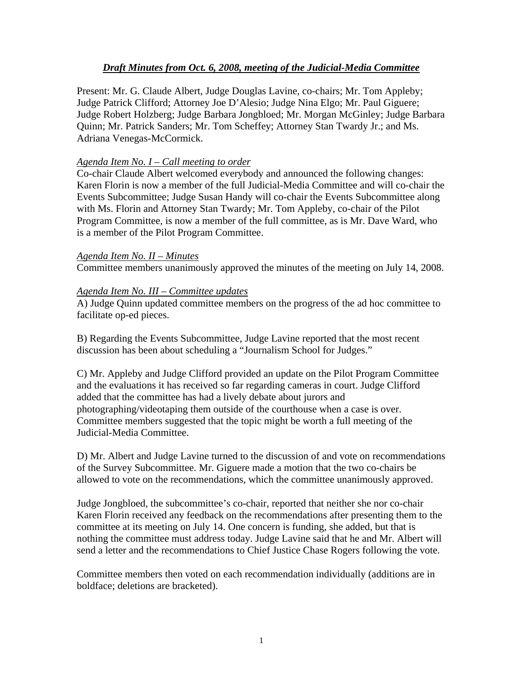# *Draft Minutes from Oct. 6, 2008, meeting of the Judicial-Media Committee*

Present: Mr. G. Claude Albert, Judge Douglas Lavine, co-chairs; Mr. Tom Appleby; Judge Patrick Clifford; Attorney Joe D'Alesio; Judge Nina Elgo; Mr. Paul Giguere; Judge Robert Holzberg; Judge Barbara Jongbloed; Mr. Morgan McGinley; Judge Barbara Quinn; Mr. Patrick Sanders; Mr. Tom Scheffey; Attorney Stan Twardy Jr.; and Ms. Adriana Venegas-McCormick.

### *Agenda Item No. I – Call meeting to order*

Co-chair Claude Albert welcomed everybody and announced the following changes: Karen Florin is now a member of the full Judicial-Media Committee and will co-chair the Events Subcommittee; Judge Susan Handy will co-chair the Events Subcommittee along with Ms. Florin and Attorney Stan Twardy; Mr. Tom Appleby, co-chair of the Pilot Program Committee, is now a member of the full committee, as is Mr. Dave Ward, who is a member of the Pilot Program Committee.

#### *Agenda Item No. II – Minutes*

Committee members unanimously approved the minutes of the meeting on July 14, 2008.

#### *Agenda Item No. III – Committee updates*

A) Judge Quinn updated committee members on the progress of the ad hoc committee to facilitate op-ed pieces.

B) Regarding the Events Subcommittee, Judge Lavine reported that the most recent discussion has been about scheduling a "Journalism School for Judges."

C) Mr. Appleby and Judge Clifford provided an update on the Pilot Program Committee and the evaluations it has received so far regarding cameras in court. Judge Clifford added that the committee has had a lively debate about jurors and photographing/videotaping them outside of the courthouse when a case is over. Committee members suggested that the topic might be worth a full meeting of the Judicial-Media Committee.

D) Mr. Albert and Judge Lavine turned to the discussion of and vote on recommendations of the Survey Subcommittee. Mr. Giguere made a motion that the two co-chairs be allowed to vote on the recommendations, which the committee unanimously approved.

Judge Jongbloed, the subcommittee's co-chair, reported that neither she nor co-chair Karen Florin received any feedback on the recommendations after presenting them to the committee at its meeting on July 14. One concern is funding, she added, but that is nothing the committee must address today. Judge Lavine said that he and Mr. Albert will send a letter and the recommendations to Chief Justice Chase Rogers following the vote.

Committee members then voted on each recommendation individually (additions are in boldface; deletions are bracketed).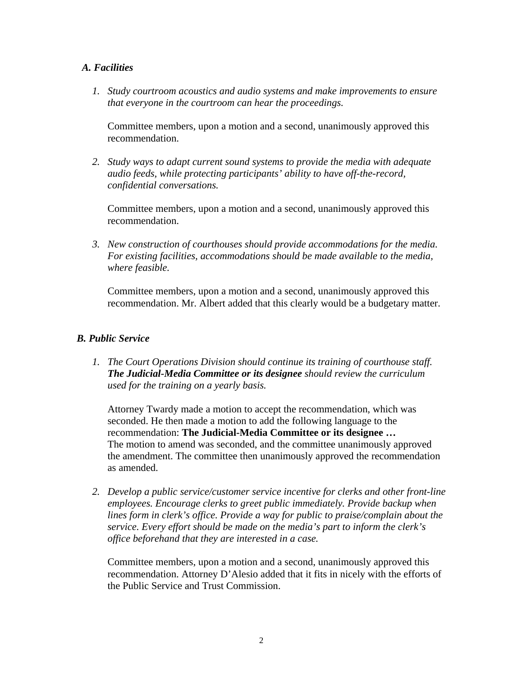## *A. Facilities*

*1. Study courtroom acoustics and audio systems and make improvements to ensure that everyone in the courtroom can hear the proceedings.* 

 Committee members, upon a motion and a second, unanimously approved this recommendation.

*2. Study ways to adapt current sound systems to provide the media with adequate audio feeds, while protecting participants' ability to have off-the-record, confidential conversations.* 

 Committee members, upon a motion and a second, unanimously approved this recommendation.

*3. New construction of courthouses should provide accommodations for the media. For existing facilities, accommodations should be made available to the media, where feasible.* 

 Committee members, upon a motion and a second, unanimously approved this recommendation. Mr. Albert added that this clearly would be a budgetary matter.

## *B. Public Service*

*1. The Court Operations Division should continue its training of courthouse staff. The Judicial-Media Committee or its designee should review the curriculum used for the training on a yearly basis.* 

 Attorney Twardy made a motion to accept the recommendation, which was seconded. He then made a motion to add the following language to the recommendation: **The Judicial-Media Committee or its designee …**  The motion to amend was seconded, and the committee unanimously approved the amendment. The committee then unanimously approved the recommendation as amended.

*2. Develop a public service/customer service incentive for clerks and other front-line employees. Encourage clerks to greet public immediately. Provide backup when lines form in clerk's office. Provide a way for public to praise/complain about the service. Every effort should be made on the media's part to inform the clerk's office beforehand that they are interested in a case.* 

 Committee members, upon a motion and a second, unanimously approved this recommendation. Attorney D'Alesio added that it fits in nicely with the efforts of the Public Service and Trust Commission.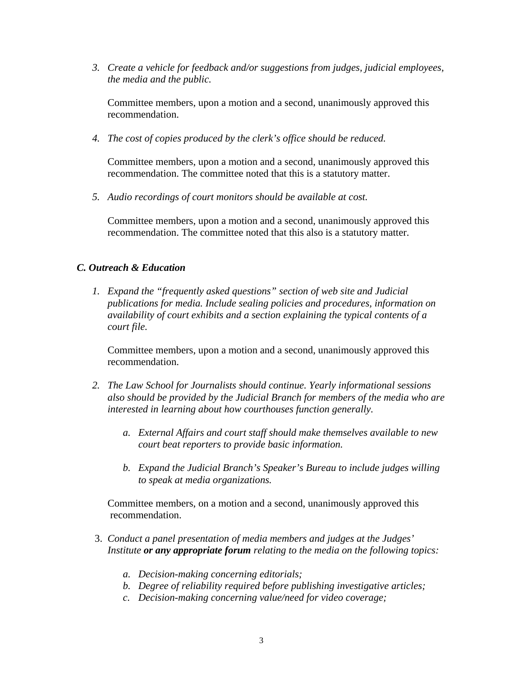*3. Create a vehicle for feedback and/or suggestions from judges, judicial employees, the media and the public.* 

 Committee members, upon a motion and a second, unanimously approved this recommendation.

*4. The cost of copies produced by the clerk's office should be reduced.* 

Committee members, upon a motion and a second, unanimously approved this recommendation. The committee noted that this is a statutory matter.

*5. Audio recordings of court monitors should be available at cost.* 

 Committee members, upon a motion and a second, unanimously approved this recommendation. The committee noted that this also is a statutory matter.

## *C. Outreach & Education*

*1. Expand the "frequently asked questions" section of web site and Judicial publications for media. Include sealing policies and procedures, information on availability of court exhibits and a section explaining the typical contents of a court file.* 

 Committee members, upon a motion and a second, unanimously approved this recommendation.

- *2. The Law School for Journalists should continue. Yearly informational sessions also should be provided by the Judicial Branch for members of the media who are interested in learning about how courthouses function generally.* 
	- *a. External Affairs and court staff should make themselves available to new court beat reporters to provide basic information.*
	- *b. Expand the Judicial Branch's Speaker's Bureau to include judges willing to speak at media organizations.*

 Committee members, on a motion and a second, unanimously approved this recommendation.

- 3. *Conduct a panel presentation of media members and judges at the Judges' Institute or any appropriate forum relating to the media on the following topics:* 
	- *a. Decision-making concerning editorials;*
	- *b. Degree of reliability required before publishing investigative articles;*
	- *c. Decision-making concerning value/need for video coverage;*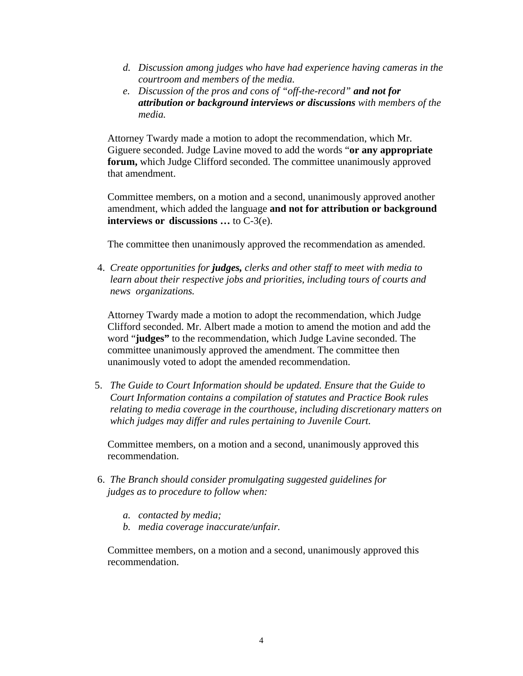- *d. Discussion among judges who have had experience having cameras in the courtroom and members of the media.*
- *e. Discussion of the pros and cons of "off-the-record" and not for attribution or background interviews or discussions with members of the media.*

 Attorney Twardy made a motion to adopt the recommendation, which Mr. Giguere seconded. Judge Lavine moved to add the words "**or any appropriate forum,** which Judge Clifford seconded. The committee unanimously approved that amendment.

 Committee members, on a motion and a second, unanimously approved another amendment, which added the language **and not for attribution or background interviews or discussions …** to C-3(e).

The committee then unanimously approved the recommendation as amended.

 4. *Create opportunities for judges, clerks and other staff to meet with media to learn about their respective jobs and priorities, including tours of courts and news organizations.* 

 Attorney Twardy made a motion to adopt the recommendation, which Judge Clifford seconded. Mr. Albert made a motion to amend the motion and add the word "**judges"** to the recommendation, which Judge Lavine seconded. The committee unanimously approved the amendment. The committee then unanimously voted to adopt the amended recommendation.

 5. *The Guide to Court Information should be updated. Ensure that the Guide to Court Information contains a compilation of statutes and Practice Book rules relating to media coverage in the courthouse, including discretionary matters on which judges may differ and rules pertaining to Juvenile Court.* 

 Committee members, on a motion and a second, unanimously approved this recommendation.

- 6. *The Branch should consider promulgating suggested guidelines for judges as to procedure to follow when:* 
	- *a. contacted by media;*
	- *b. media coverage inaccurate/unfair.*

Committee members, on a motion and a second, unanimously approved this recommendation.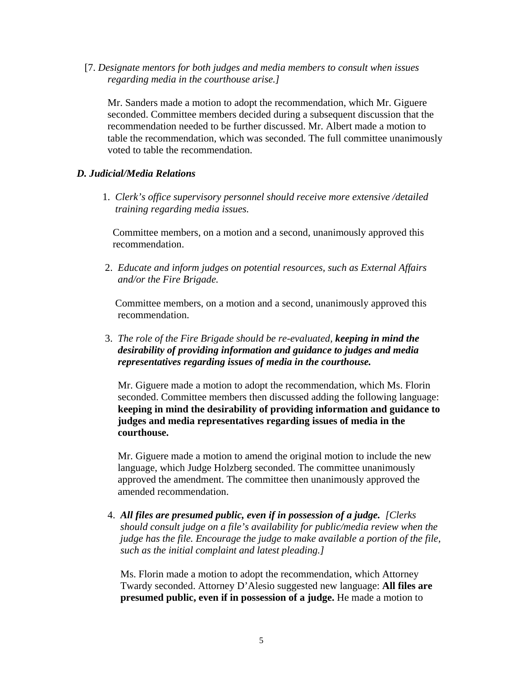[7. *Designate mentors for both judges and media members to consult when issues regarding media in the courthouse arise.]* 

Mr. Sanders made a motion to adopt the recommendation, which Mr. Giguere seconded. Committee members decided during a subsequent discussion that the recommendation needed to be further discussed. Mr. Albert made a motion to table the recommendation, which was seconded. The full committee unanimously voted to table the recommendation.

## *D. Judicial/Media Relations*

 1. *Clerk's office supervisory personnel should receive more extensive /detailed training regarding media issues.* 

Committee members, on a motion and a second, unanimously approved this recommendation.

2. *Educate and inform judges on potential resources, such as External Affairs and/or the Fire Brigade.* 

Committee members, on a motion and a second, unanimously approved this recommendation.

 3. *The role of the Fire Brigade should be re-evaluated, keeping in mind the desirability of providing information and guidance to judges and media representatives regarding issues of media in the courthouse.* 

 Mr. Giguere made a motion to adopt the recommendation, which Ms. Florin seconded. Committee members then discussed adding the following language: **keeping in mind the desirability of providing information and guidance to judges and media representatives regarding issues of media in the courthouse.** 

Mr. Giguere made a motion to amend the original motion to include the new language, which Judge Holzberg seconded. The committee unanimously approved the amendment. The committee then unanimously approved the amended recommendation.

 4. *All files are presumed public, even if in possession of a judge. [Clerks should consult judge on a file's availability for public/media review when the judge has the file. Encourage the judge to make available a portion of the file, such as the initial complaint and latest pleading.]* 

 Ms. Florin made a motion to adopt the recommendation, which Attorney Twardy seconded. Attorney D'Alesio suggested new language: **All files are presumed public, even if in possession of a judge.** He made a motion to